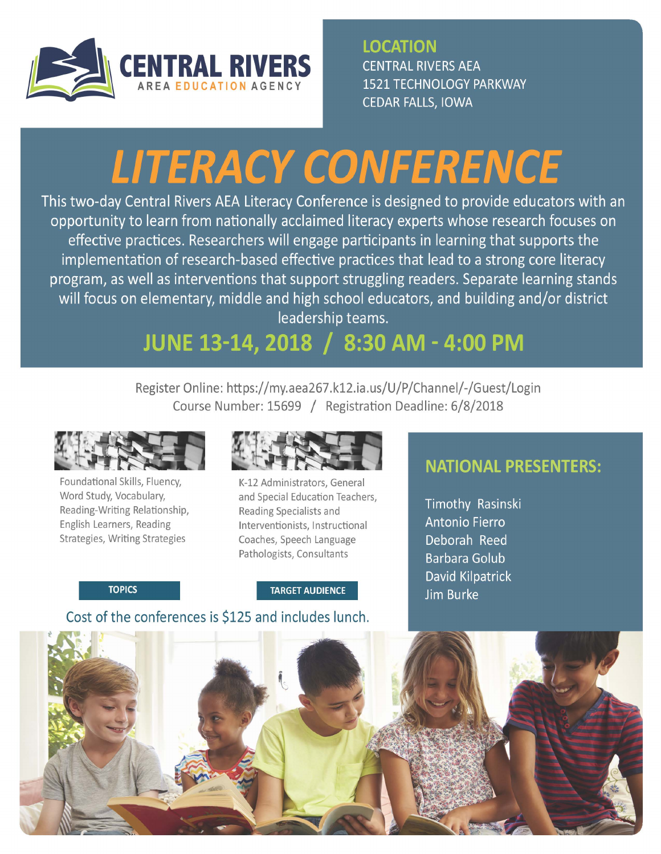

**LOCATION**  CENTRAL RIVERS AEA 1521 TECHNOLOGY PARKWAY CEDAR FALLS, IOWA

# **LITERACY CONFERENCE**

This two-day Central Rivers AEA Literacy Conference is designed to provide educators with an opportunity to learn from nationally acclaimed literacy experts whose research focuses on effective practices. Researchers will engage participants in learning that supports the implementation of research-based effective practices that lead to a strong core literacy program, as well as interventions that support struggling readers. Separate learning stands will focus on elementary, middle and high school educators, and building and/or district leadership teams.

## **JUNE 13-14, 2018 / 8:30 AM - 4:00 PM**

Register Online: https://my.aea267.k12.ia.us/U/P/Channel/-/Guest/Login Course Number: 15699 / Registration Deadline: 6/8/2018



Foundational Skills, Fluency, Word Study, Vocabulary, Reading-Writing Relationship, English Learners, Reading Strategies, Writing Strategies



K-12 Administrators, General and Special Education Teachers, Reading Specialists and Interventionists, Instructional Coaches, Speech Language Pathologists, Consultants

**TOPICS** 

**TARGET AUDIENCE** 

Cost of the conferences is \$125 and includes lunch.

### **NATIONAL PRESENTERS:**

Timothy Rasinski Antonio Fierro Deborah Reed Barbara Golub David Kilpatrick Jim Burke